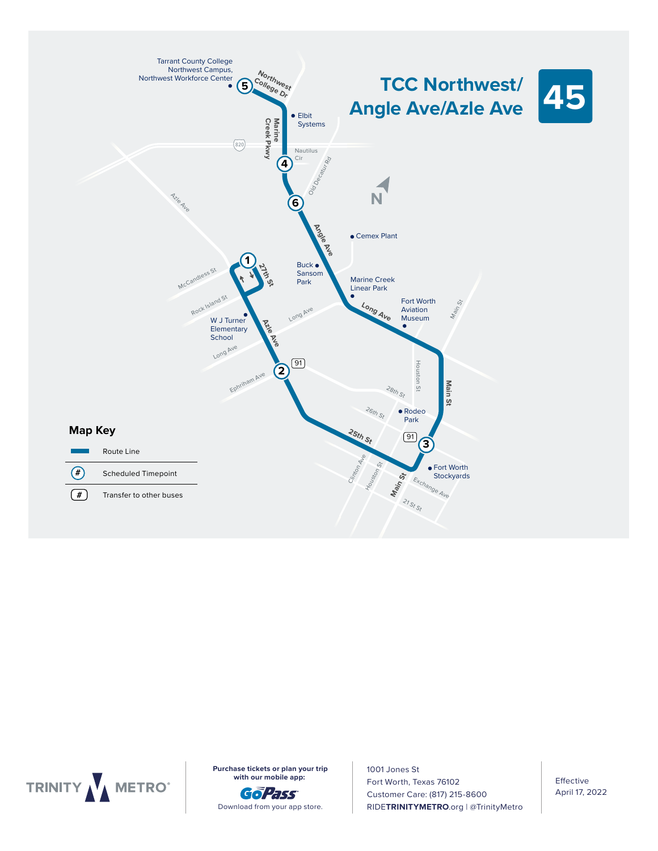



**Purchase tickets or plan your trip with our mobile app:** 

6:00 6:07 6:12 6:23 6:27



1001 Jones St 7:30 7:36 7:45 7:50 7:56 Fort Worth, Texas 76102 8:30 8:36 8:45 8:50 8:56 Customer Care: (817) 215-8600 9:30 9:36 9:45 9:50 9:56 RIDE**TRINITYMETRO**.org | @TrinityMetro

6:30 6:36 6:45 6:50 6:56

Effective April 17, 2022